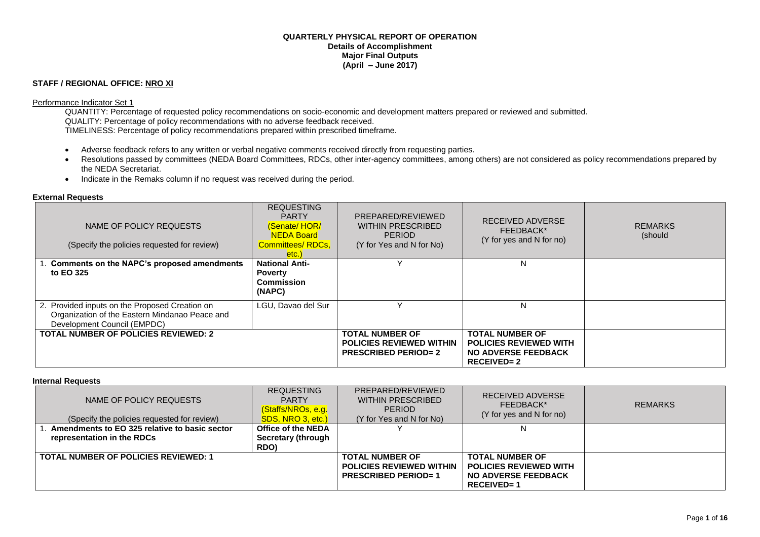### **QUARTERLY PHYSICAL REPORT OF OPERATION Details of Accomplishment Major Final Outputs (April – June 2017)**

## **STAFF / REGIONAL OFFICE: NRO XI**

#### Performance Indicator Set 1

QUANTITY: Percentage of requested policy recommendations on socio-economic and development matters prepared or reviewed and submitted. QUALITY: Percentage of policy recommendations with no adverse feedback received. TIMELINESS: Percentage of policy recommendations prepared within prescribed timeframe.

- Adverse feedback refers to any written or verbal negative comments received directly from requesting parties.
- Resolutions passed by committees (NEDA Board Committees, RDCs, other inter-agency committees, among others) are not considered as policy recommendations prepared by the NEDA Secretariat.
- Indicate in the Remaks column if no request was received during the period.

#### **External Requests**

| NAME OF POLICY REQUESTS<br>(Specify the policies requested for review)                                                          | <b>REQUESTING</b><br><b>PARTY</b><br><b>Senate/HOR/</b><br><b>NEDA Board</b><br><b>Committees/ RDCs,</b><br>etc.) | PREPARED/REVIEWED<br>WITHIN PRESCRIBED<br><b>PERIOD</b><br>(Y for Yes and N for No)     | RECEIVED ADVERSE<br>FEEDBACK*<br>(Y for yes and N for no)                                               | <b>REMARKS</b><br>(should |
|---------------------------------------------------------------------------------------------------------------------------------|-------------------------------------------------------------------------------------------------------------------|-----------------------------------------------------------------------------------------|---------------------------------------------------------------------------------------------------------|---------------------------|
| 1. Comments on the NAPC's proposed amendments                                                                                   | <b>National Anti-</b>                                                                                             |                                                                                         | N                                                                                                       |                           |
| to EO 325                                                                                                                       | <b>Poverty</b><br><b>Commission</b><br>(NAPC)                                                                     |                                                                                         |                                                                                                         |                           |
| 2. Provided inputs on the Proposed Creation on<br>Organization of the Eastern Mindanao Peace and<br>Development Council (EMPDC) | LGU. Davao del Sur                                                                                                |                                                                                         | N                                                                                                       |                           |
| <b>TOTAL NUMBER OF POLICIES REVIEWED: 2</b>                                                                                     |                                                                                                                   | <b>TOTAL NUMBER OF</b><br><b>POLICIES REVIEWED WITHIN</b><br><b>PRESCRIBED PERIOD=2</b> | <b>TOTAL NUMBER OF</b><br><b>POLICIES REVIEWED WITH</b><br><b>NO ADVERSE FEEDBACK</b><br>$RECEIVED = 2$ |                           |

#### **Internal Requests**

| NAME OF POLICY REQUESTS<br>(Specify the policies requested for review) | <b>REQUESTING</b><br><b>PARTY</b><br>(Staffs/NROs, e.g.<br>SDS, NRO 3, etc.) | PREPARED/REVIEWED<br>WITHIN PRESCRIBED<br>PERIOD<br>(Y for Yes and N for No) | RECEIVED ADVERSE<br>FEEDBACK*<br>(Y for yes and N for no) | <b>REMARKS</b> |
|------------------------------------------------------------------------|------------------------------------------------------------------------------|------------------------------------------------------------------------------|-----------------------------------------------------------|----------------|
| Amendments to EO 325 relative to basic sector                          | Office of the NEDA                                                           |                                                                              |                                                           |                |
| representation in the RDCs                                             | <b>Secretary (through</b>                                                    |                                                                              |                                                           |                |
|                                                                        | RDO)                                                                         |                                                                              |                                                           |                |
| <b>TOTAL NUMBER OF POLICIES REVIEWED: 1</b>                            |                                                                              | <b>TOTAL NUMBER OF</b>                                                       | <b>TOTAL NUMBER OF</b>                                    |                |
|                                                                        |                                                                              | <b>POLICIES REVIEWED WITHIN</b>                                              | <b>POLICIES REVIEWED WITH</b>                             |                |
|                                                                        |                                                                              | <b>PRESCRIBED PERIOD=1</b>                                                   | <b>NO ADVERSE FEEDBACK</b>                                |                |
|                                                                        |                                                                              |                                                                              | $RECEIVED = 1$                                            |                |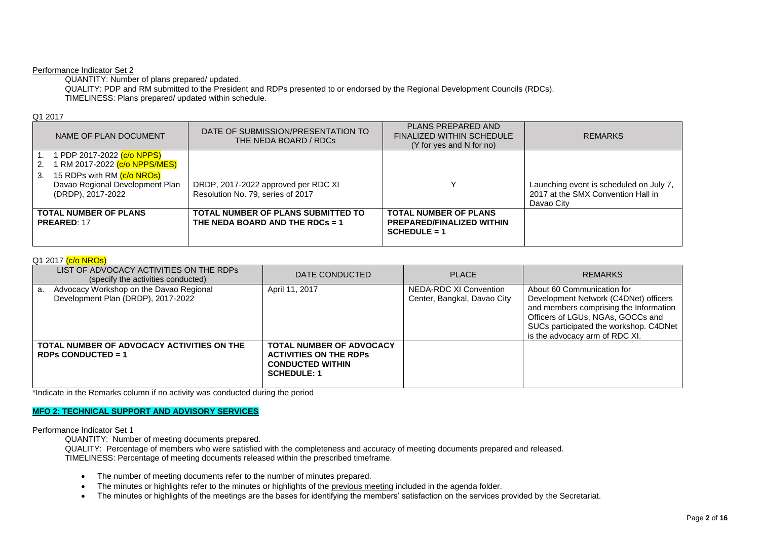### Performance Indicator Set 2

QUANTITY: Number of plans prepared/ updated.

QUALITY: PDP and RM submitted to the President and RDPs presented to or endorsed by the Regional Development Councils (RDCs). TIMELINESS: Plans prepared/ updated within schedule.

### Q1 2017

| NAME OF PLAN DOCUMENT                            | DATE OF SUBMISSION/PRESENTATION TO<br>THE NEDA BOARD / RDCs | PLANS PREPARED AND<br><b>FINALIZED WITHIN SCHEDULE</b><br>(Y for yes and N for no) | <b>REMARKS</b>                          |
|--------------------------------------------------|-------------------------------------------------------------|------------------------------------------------------------------------------------|-----------------------------------------|
| 1 PDP 2017-2022 (c/o NPPS)                       |                                                             |                                                                                    |                                         |
| 1 RM 2017-2022 <mark>(c/o NPPS/MES)</mark><br>2. |                                                             |                                                                                    |                                         |
| 15 RDPs with RM (c/o NROs)<br>3.                 |                                                             |                                                                                    |                                         |
| Davao Regional Development Plan                  | DRDP, 2017-2022 approved per RDC XI                         |                                                                                    | Launching event is scheduled on July 7, |
| (DRDP), 2017-2022                                | Resolution No. 79, series of 2017                           |                                                                                    | 2017 at the SMX Convention Hall in      |
|                                                  |                                                             |                                                                                    | Davao City                              |
| <b>TOTAL NUMBER OF PLANS</b>                     | <b>TOTAL NUMBER OF PLANS SUBMITTED TO</b>                   | <b>TOTAL NUMBER OF PLANS</b>                                                       |                                         |
| <b>PREARED: 17</b>                               | THE NEDA BOARD AND THE RDCs = 1                             | <b>PREPARED/FINALIZED WITHIN</b><br>$SCHEDULE = 1$                                 |                                         |
|                                                  |                                                             |                                                                                    |                                         |

## Q1 2017 (c/o NROs)

| LIST OF ADVOCACY ACTIVITIES ON THE RDPS<br>(specify the activities conducted)       | DATE CONDUCTED                                                                                                    | <b>PLACE</b>                                          | <b>REMARKS</b>                                                                                                                                                                                                                 |
|-------------------------------------------------------------------------------------|-------------------------------------------------------------------------------------------------------------------|-------------------------------------------------------|--------------------------------------------------------------------------------------------------------------------------------------------------------------------------------------------------------------------------------|
| Advocacy Workshop on the Davao Regional<br>a.<br>Development Plan (DRDP), 2017-2022 | April 11, 2017                                                                                                    | NEDA-RDC XI Convention<br>Center, Bangkal, Davao City | About 60 Communication for<br>Development Network (C4DNet) officers<br>and members comprising the Information<br>Officers of LGUs, NGAs, GOCCs and<br>SUCs participated the workshop. C4DNet<br>is the advocacy arm of RDC XI. |
| TOTAL NUMBER OF ADVOCACY ACTIVITIES ON THE<br>RDPs CONDUCTED = $1$                  | <b>TOTAL NUMBER OF ADVOCACY</b><br><b>ACTIVITIES ON THE RDPS</b><br><b>CONDUCTED WITHIN</b><br><b>SCHEDULE: 1</b> |                                                       |                                                                                                                                                                                                                                |

\*Indicate in the Remarks column if no activity was conducted during the period

## **MFO 2: TECHNICAL SUPPORT AND ADVISORY SERVICES**

### Performance Indicator Set 1

QUANTITY: Number of meeting documents prepared.

QUALITY: Percentage of members who were satisfied with the completeness and accuracy of meeting documents prepared and released. TIMELINESS: Percentage of meeting documents released within the prescribed timeframe.

- The number of meeting documents refer to the number of minutes prepared.
- The minutes or highlights refer to the minutes or highlights of the previous meeting included in the agenda folder.
- The minutes or highlights of the meetings are the bases for identifying the members' satisfaction on the services provided by the Secretariat.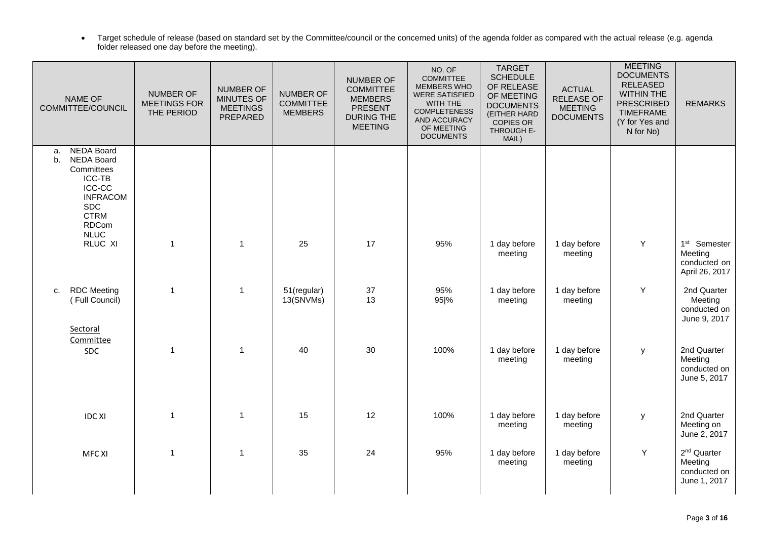Target schedule of release (based on standard set by the Committee/council or the concerned units) of the agenda folder as compared with the actual release (e.g. agenda folder released one day before the meeting).

| NAME OF<br>COMMITTEE/COUNCIL<br><b>NEDA Board</b><br>a. |                                                                                                                                           | NUMBER OF<br><b>MEETINGS FOR</b><br>THE PERIOD | <b>NUMBER OF</b><br><b>MINUTES OF</b><br><b>MEETINGS</b><br>PREPARED | <b>NUMBER OF</b><br><b>COMMITTEE</b><br><b>MEMBERS</b> | <b>NUMBER OF</b><br><b>COMMITTEE</b><br><b>MEMBERS</b><br><b>PRESENT</b><br><b>DURING THE</b><br><b>MEETING</b> | NO. OF<br><b>COMMITTEE</b><br><b>MEMBERS WHO</b><br><b>WERE SATISFIED</b><br>WITH THE<br><b>COMPLETENESS</b><br>AND ACCURACY<br>OF MEETING<br><b>DOCUMENTS</b> | <b>TARGET</b><br><b>SCHEDULE</b><br>OF RELEASE<br>OF MEETING<br><b>DOCUMENTS</b><br>(EITHER HARD<br><b>COPIES OR</b><br>THROUGH E-<br>MAIL) | <b>ACTUAL</b><br><b>RELEASE OF</b><br><b>MEETING</b><br><b>DOCUMENTS</b> | <b>MEETING</b><br><b>DOCUMENTS</b><br><b>RELEASED</b><br><b>WITHIN THE</b><br><b>PRESCRIBED</b><br><b>TIMEFRAME</b><br>(Y for Yes and<br>N for No) | <b>REMARKS</b>                                                        |
|---------------------------------------------------------|-------------------------------------------------------------------------------------------------------------------------------------------|------------------------------------------------|----------------------------------------------------------------------|--------------------------------------------------------|-----------------------------------------------------------------------------------------------------------------|----------------------------------------------------------------------------------------------------------------------------------------------------------------|---------------------------------------------------------------------------------------------------------------------------------------------|--------------------------------------------------------------------------|----------------------------------------------------------------------------------------------------------------------------------------------------|-----------------------------------------------------------------------|
| b.                                                      | <b>NEDA Board</b><br>Committees<br>ICC-TB<br><b>ICC-CC</b><br><b>INFRACOM</b><br><b>SDC</b><br><b>CTRM</b><br><b>RDCom</b><br><b>NLUC</b> |                                                |                                                                      |                                                        |                                                                                                                 |                                                                                                                                                                |                                                                                                                                             |                                                                          |                                                                                                                                                    |                                                                       |
|                                                         | RLUC XI                                                                                                                                   | $\mathbf{1}$                                   | $\overline{1}$                                                       | 25                                                     | 17                                                                                                              | 95%                                                                                                                                                            | 1 day before<br>meeting                                                                                                                     | 1 day before<br>meeting                                                  | Y                                                                                                                                                  | 1 <sup>st</sup> Semester<br>Meeting<br>conducted on<br>April 26, 2017 |
| C.                                                      | <b>RDC</b> Meeting<br>(Full Council)<br>Sectoral                                                                                          | $\mathbf{1}$                                   | $\mathbf{1}$                                                         | 51(regular)<br>13(SNVMs)                               | 37<br>13                                                                                                        | 95%<br>95 %                                                                                                                                                    | 1 day before<br>meeting                                                                                                                     | 1 day before<br>meeting                                                  | Y                                                                                                                                                  | 2nd Quarter<br>Meeting<br>conducted on<br>June 9, 2017                |
|                                                         | Committee<br>SDC                                                                                                                          | 1                                              | $\mathbf{1}$                                                         | 40                                                     | 30                                                                                                              | 100%                                                                                                                                                           | 1 day before<br>meeting                                                                                                                     | 1 day before<br>meeting                                                  | y                                                                                                                                                  | 2nd Quarter<br>Meeting<br>conducted on<br>June 5, 2017                |
|                                                         | <b>IDC XI</b>                                                                                                                             | 1                                              | $\mathbf{1}$                                                         | 15                                                     | 12                                                                                                              | 100%                                                                                                                                                           | 1 day before<br>meeting                                                                                                                     | 1 day before<br>meeting                                                  | y                                                                                                                                                  | 2nd Quarter<br>Meeting on<br>June 2, 2017                             |
|                                                         | <b>MFC XI</b>                                                                                                                             | $\mathbf{1}$                                   | $\mathbf{1}$                                                         | 35                                                     | 24                                                                                                              | 95%                                                                                                                                                            | 1 day before<br>meeting                                                                                                                     | 1 day before<br>meeting                                                  | Υ                                                                                                                                                  | 2 <sup>nd</sup> Quarter<br>Meeting<br>conducted on<br>June 1, 2017    |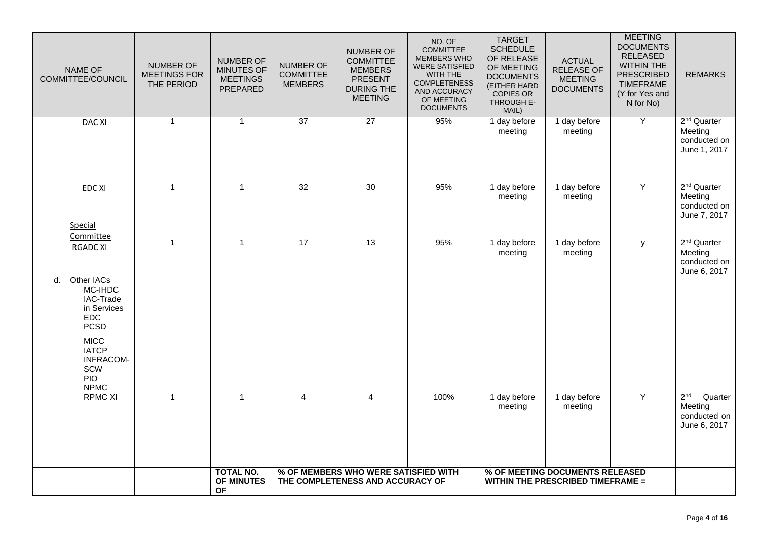| NAME OF<br>COMMITTEE/COUNCIL                                                                                                                            | <b>NUMBER OF</b><br><b>MEETINGS FOR</b><br>THE PERIOD | <b>NUMBER OF</b><br>MINUTES OF<br><b>MEETINGS</b><br>PREPARED | <b>NUMBER OF</b><br><b>COMMITTEE</b><br><b>MEMBERS</b> | <b>NUMBER OF</b><br><b>COMMITTEE</b><br><b>MEMBERS</b><br><b>PRESENT</b><br><b>DURING THE</b><br><b>MEETING</b> | NO. OF<br><b>COMMITTEE</b><br><b>MEMBERS WHO</b><br><b>WERE SATISFIED</b><br>WITH THE<br><b>COMPLETENESS</b><br>AND ACCURACY<br>OF MEETING<br><b>DOCUMENTS</b> | <b>TARGET</b><br><b>SCHEDULE</b><br>OF RELEASE<br>OF MEETING<br><b>DOCUMENTS</b><br>(EITHER HARD<br><b>COPIES OR</b><br>THROUGH E-<br>MAIL) | <b>ACTUAL</b><br><b>RELEASE OF</b><br><b>MEETING</b><br><b>DOCUMENTS</b> | <b>MEETING</b><br><b>DOCUMENTS</b><br><b>RELEASED</b><br><b>WITHIN THE</b><br><b>PRESCRIBED</b><br><b>TIMEFRAME</b><br>(Y for Yes and<br>N for No) | <b>REMARKS</b>                                                        |
|---------------------------------------------------------------------------------------------------------------------------------------------------------|-------------------------------------------------------|---------------------------------------------------------------|--------------------------------------------------------|-----------------------------------------------------------------------------------------------------------------|----------------------------------------------------------------------------------------------------------------------------------------------------------------|---------------------------------------------------------------------------------------------------------------------------------------------|--------------------------------------------------------------------------|----------------------------------------------------------------------------------------------------------------------------------------------------|-----------------------------------------------------------------------|
| <b>DAC XI</b>                                                                                                                                           | $\overline{1}$                                        | $\mathbf{1}$                                                  | $\overline{37}$                                        | $\overline{27}$                                                                                                 | 95%                                                                                                                                                            | 1 day before<br>meeting                                                                                                                     | 1 day before<br>meeting                                                  | $\overline{Y}$                                                                                                                                     | 2 <sup>nd</sup> Quarter<br>Meeting<br>conducted on<br>June 1, 2017    |
| <b>EDC XI</b><br>Special                                                                                                                                | $\overline{1}$                                        | $\mathbf 1$                                                   | 32                                                     | 30                                                                                                              | 95%                                                                                                                                                            | 1 day before<br>meeting                                                                                                                     | 1 day before<br>meeting                                                  | Y                                                                                                                                                  | 2 <sup>nd</sup> Quarter<br>Meeting<br>conducted on<br>June 7, 2017    |
| Committee<br><b>RGADC XI</b><br>Other IACs<br>d.                                                                                                        | $\overline{1}$                                        | $\mathbf{1}$                                                  | 17                                                     | 13                                                                                                              | 95%                                                                                                                                                            | 1 day before<br>meeting                                                                                                                     | 1 day before<br>meeting                                                  | у                                                                                                                                                  | 2 <sup>nd</sup> Quarter<br>Meeting<br>conducted on<br>June 6, 2017    |
| MC-IHDC<br>IAC-Trade<br>in Services<br><b>EDC</b><br><b>PCSD</b><br><b>MICC</b><br><b>IATCP</b><br><b>INFRACOM-</b><br>SCW<br><b>PIO</b><br><b>NPMC</b> |                                                       |                                                               |                                                        |                                                                                                                 |                                                                                                                                                                |                                                                                                                                             |                                                                          |                                                                                                                                                    |                                                                       |
| <b>RPMC XI</b>                                                                                                                                          | $\overline{1}$                                        | $\mathbf{1}$                                                  | 4                                                      | 4                                                                                                               | 100%                                                                                                                                                           | 1 day before<br>meeting                                                                                                                     | 1 day before<br>meeting                                                  | Y                                                                                                                                                  | 2 <sup>nd</sup><br>Quarter<br>Meeting<br>conducted on<br>June 6, 2017 |
|                                                                                                                                                         |                                                       | <b>TOTAL NO.</b><br>OF MINUTES<br><b>OF</b>                   |                                                        | % OF MEMBERS WHO WERE SATISFIED WITH<br>THE COMPLETENESS AND ACCURACY OF                                        |                                                                                                                                                                | % OF MEETING DOCUMENTS RELEASED<br><b>WITHIN THE PRESCRIBED TIMEFRAME =</b>                                                                 |                                                                          |                                                                                                                                                    |                                                                       |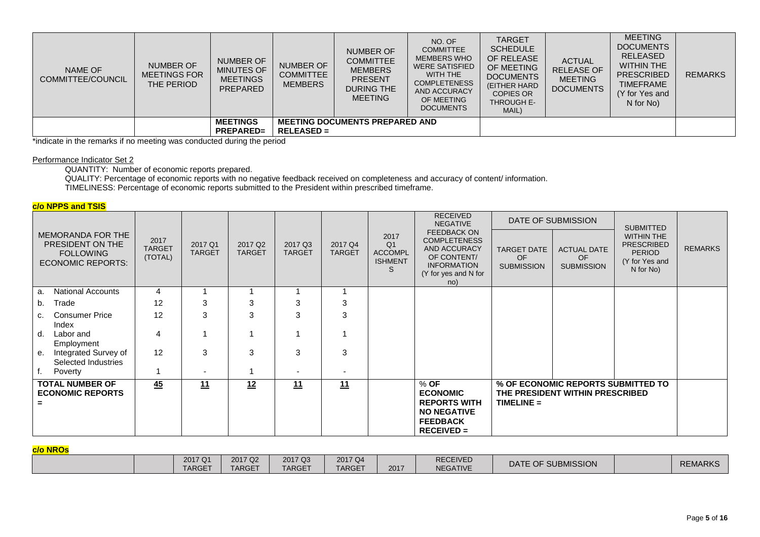| NAME OF<br><b>COMMITTEE/COUNCIL</b> | <b>NUMBER OF</b><br><b>MEETINGS FOR</b><br>THE PERIOD | NUMBER OF<br><b>MINUTES OF</b><br><b>MEETINGS</b><br>PREPARED | <b>NUMBER OF</b><br><b>COMMITTEE</b><br><b>MEMBERS</b> | <b>NUMBER OF</b><br><b>COMMITTEE</b><br><b>MEMBERS</b><br><b>PRESENT</b><br><b>DURING THE</b><br><b>MEETING</b> | NO. OF<br><b>COMMITTEE</b><br><b>MEMBERS WHO</b><br><b>WERE SATISFIED</b><br>WITH THE<br><b>COMPLETENESS</b><br>AND ACCURACY<br>OF MEETING<br><b>DOCUMENTS</b> | <b>TARGET</b><br><b>SCHEDULE</b><br>OF RELEASE<br>OF MEETING<br><b>DOCUMENTS</b><br>(EITHER HARD)<br><b>COPIES OR</b><br><b>THROUGH E-</b><br>MAIL) | <b>ACTUAL</b><br><b>RELEASE OF</b><br><b>MEETING</b><br><b>DOCUMENTS</b> | <b>MEETING</b><br><b>DOCUMENTS</b><br>RELEASED<br><b>WITHIN THE</b><br><b>PRESCRIBED</b><br><b>TIMEFRAME</b><br>(Y for Yes and<br>N for No) | <b>REMARKS</b> |
|-------------------------------------|-------------------------------------------------------|---------------------------------------------------------------|--------------------------------------------------------|-----------------------------------------------------------------------------------------------------------------|----------------------------------------------------------------------------------------------------------------------------------------------------------------|-----------------------------------------------------------------------------------------------------------------------------------------------------|--------------------------------------------------------------------------|---------------------------------------------------------------------------------------------------------------------------------------------|----------------|
|                                     |                                                       | <b>MEETINGS</b>                                               |                                                        | <b>MEETING DOCUMENTS PREPARED AND</b>                                                                           |                                                                                                                                                                |                                                                                                                                                     |                                                                          |                                                                                                                                             |                |
|                                     |                                                       | <b>PREPARED=</b>                                              | <b>RELEASED =</b>                                      |                                                                                                                 |                                                                                                                                                                |                                                                                                                                                     |                                                                          |                                                                                                                                             |                |

\*indicate in the remarks if no meeting was conducted during the period

### Performance Indicator Set 2

QUANTITY: Number of economic reports prepared.

QUALITY: Percentage of economic reports with no negative feedback received on completeness and accuracy of content/ information. TIMELINESS: Percentage of economic reports submitted to the President within prescribed timeframe.

## **c/o NPPS and TSIS**

|                                                                                       |                                       | 2017 Q1<br><b>TARGET</b> |                                      | 2017 Q3<br>2017 Q4<br><b>TARGET</b><br><b>TARGET</b> | <b>RECEIVED</b><br><b>NEGATIVE</b><br><b>FEEDBACK ON</b> |                                                                 | DATE OF SUBMISSION                                                                                             | <b>SUBMITTED</b>                              |                                                                       |                                                                                        |                |
|---------------------------------------------------------------------------------------|---------------------------------------|--------------------------|--------------------------------------|------------------------------------------------------|----------------------------------------------------------|-----------------------------------------------------------------|----------------------------------------------------------------------------------------------------------------|-----------------------------------------------|-----------------------------------------------------------------------|----------------------------------------------------------------------------------------|----------------|
| MEMORANDA FOR THE<br>PRESIDENT ON THE<br><b>FOLLOWING</b><br><b>ECONOMIC REPORTS:</b> | 2017<br><b>TARGET</b><br>(TOTAL)<br>4 |                          | 2017 Q <sub>2</sub><br><b>TARGET</b> |                                                      |                                                          | 2017<br>Q <sub>1</sub><br><b>ACCOMPL</b><br><b>ISHMENT</b><br>S | <b>COMPLETENESS</b><br><b>AND ACCURACY</b><br>OF CONTENT/<br><b>INFORMATION</b><br>(Y for yes and N for<br>no) | <b>TARGET DATE</b><br>OF<br><b>SUBMISSION</b> | <b>ACTUAL DATE</b><br><b>OF</b><br><b>SUBMISSION</b>                  | <b>WITHIN THE</b><br><b>PRESCRIBED</b><br><b>PERIOD</b><br>(Y for Yes and<br>N for No) | <b>REMARKS</b> |
| <b>National Accounts</b><br>a                                                         |                                       |                          |                                      |                                                      |                                                          |                                                                 |                                                                                                                |                                               |                                                                       |                                                                                        |                |
| Trade<br>b.                                                                           | 12                                    | 3                        | 3                                    | 3                                                    | 3                                                        |                                                                 |                                                                                                                |                                               |                                                                       |                                                                                        |                |
| <b>Consumer Price</b><br>c.<br>Index                                                  | 12                                    | 3                        | 3                                    | 3                                                    | 3                                                        |                                                                 |                                                                                                                |                                               |                                                                       |                                                                                        |                |
| d.<br>Labor and<br>Employment                                                         | 4                                     |                          |                                      |                                                      |                                                          |                                                                 |                                                                                                                |                                               |                                                                       |                                                                                        |                |
| Integrated Survey of<br>е.<br>Selected Industries                                     | 12                                    | 3                        | 3                                    | 3                                                    | 3                                                        |                                                                 |                                                                                                                |                                               |                                                                       |                                                                                        |                |
| Poverty                                                                               |                                       | $\overline{\phantom{a}}$ |                                      |                                                      |                                                          |                                                                 |                                                                                                                |                                               |                                                                       |                                                                                        |                |
| <b>TOTAL NUMBER OF</b><br><b>ECONOMIC REPORTS</b>                                     | 45                                    | 11                       | 12                                   | 11                                                   | 11                                                       |                                                                 | $%$ OF<br><b>ECONOMIC</b><br><b>REPORTS WITH</b><br><b>NO NEGATIVE</b><br><b>FEEDBACK</b><br>$RECEIVED =$      | $TIME =$                                      | % OF ECONOMIC REPORTS SUBMITTED TO<br>THE PRESIDENT WITHIN PRESCRIBED |                                                                                        |                |

### **c/o NROs**

| -- - <u>-- - - -</u> |                          |                                      |                          |                          |      |                                    |                    |                |
|----------------------|--------------------------|--------------------------------------|--------------------------|--------------------------|------|------------------------------------|--------------------|----------------|
|                      | 2017 Q1<br><b>TARGET</b> | 2017 Q <sub>2</sub><br><b>TARGET</b> | 2017 Q3<br><b>TARGET</b> | 2017 Q4<br><b>TARGET</b> | 2017 | <b>RECEIVED</b><br><b>NEGATIVE</b> | DATE OF SUBMISSION | <b>REMARKS</b> |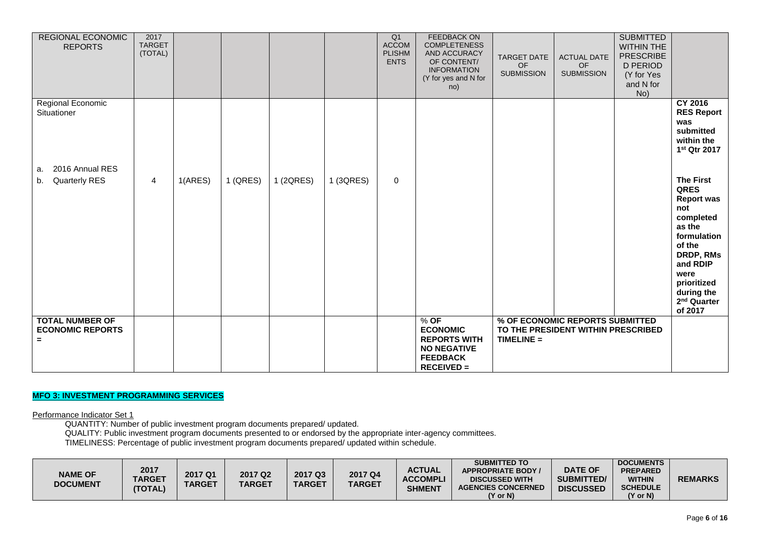| <b>REGIONAL ECONOMIC</b><br><b>REPORTS</b>                    | 2017<br><b>TARGET</b><br>(TOTAL) |         |          |           |           | Q1<br>ACCOM<br><b>PLISHM</b><br><b>ENTS</b> | <b>FEEDBACK ON</b><br><b>COMPLETENESS</b><br>AND ACCURACY<br>OF CONTENT/<br><b>INFORMATION</b><br>(Y for yes and N for<br>no) | <b>TARGET DATE</b><br>OF<br><b>SUBMISSION</b> | <b>ACTUAL DATE</b><br>OF<br><b>SUBMISSION</b>                         | <b>SUBMITTED</b><br><b>WITHIN THE</b><br><b>PRESCRIBE</b><br><b>D PERIOD</b><br>(Y for Yes<br>and N for<br>No) |                                                                                                                                                                                                                 |
|---------------------------------------------------------------|----------------------------------|---------|----------|-----------|-----------|---------------------------------------------|-------------------------------------------------------------------------------------------------------------------------------|-----------------------------------------------|-----------------------------------------------------------------------|----------------------------------------------------------------------------------------------------------------|-----------------------------------------------------------------------------------------------------------------------------------------------------------------------------------------------------------------|
| Regional Economic<br>Situationer                              |                                  |         |          |           |           |                                             |                                                                                                                               |                                               |                                                                       |                                                                                                                | <b>CY 2016</b><br><b>RES Report</b><br>was<br>submitted<br>within the<br>1 <sup>st</sup> Qtr 2017                                                                                                               |
| 2016 Annual RES<br>a.<br><b>Quarterly RES</b><br>b.           | 4                                | 1(ARES) | 1 (QRES) | 1 (2QRES) | 1 (3QRES) | $\mathbf 0$                                 |                                                                                                                               |                                               |                                                                       |                                                                                                                | <b>The First</b><br><b>QRES</b><br><b>Report was</b><br>not<br>completed<br>as the<br>formulation<br>of the<br>DRDP, RMs<br>and RDIP<br>were<br>prioritized<br>during the<br>2 <sup>nd</sup> Quarter<br>of 2017 |
| <b>TOTAL NUMBER OF</b><br><b>ECONOMIC REPORTS</b><br>$\equiv$ |                                  |         |          |           |           |                                             | $%$ OF<br><b>ECONOMIC</b><br><b>REPORTS WITH</b><br><b>NO NEGATIVE</b><br><b>FEEDBACK</b><br><b>RECEIVED =</b>                | $TIME =$                                      | % OF ECONOMIC REPORTS SUBMITTED<br>TO THE PRESIDENT WITHIN PRESCRIBED |                                                                                                                |                                                                                                                                                                                                                 |

# **MFO 3: INVESTMENT PROGRAMMING SERVICES**

Performance Indicator Set 1

QUANTITY: Number of public investment program documents prepared/ updated.

QUALITY: Public investment program documents presented to or endorsed by the appropriate inter-agency committees.

TIMELINESS: Percentage of public investment program documents prepared/ updated within schedule.

| <b>NAME OF</b><br><b>DOCUMENT</b> | 2017<br>TARGET<br>(TOTAL) | 2017 Q1<br><b>TARGET</b> | 2017 Q <sub>2</sub><br><b>TARGET</b> | 2017 Q3<br><b>TARGET</b> | 2017 Q4<br><b>TARGET</b> | <b>ACTUAL</b><br><b>ACCOMPLI</b><br><b>SHMENT</b> | <b>SUBMITTED TO</b><br><b>APPROPRIATE BODY</b><br><b>DISCUSSED WITH</b><br><b>AGENCIES CONCERNED</b><br>(Y or N) | <b>DATE OF</b><br><b>SUBMITTED/</b><br><b>DISCUSSED</b> | <b>DOCUMENTS</b><br><b>PREPARED</b><br><b>WITHIN</b><br><b>SCHEDULE</b><br>$(Y \text{ or } N)$ | <b>REMARKS</b> |
|-----------------------------------|---------------------------|--------------------------|--------------------------------------|--------------------------|--------------------------|---------------------------------------------------|------------------------------------------------------------------------------------------------------------------|---------------------------------------------------------|------------------------------------------------------------------------------------------------|----------------|
|-----------------------------------|---------------------------|--------------------------|--------------------------------------|--------------------------|--------------------------|---------------------------------------------------|------------------------------------------------------------------------------------------------------------------|---------------------------------------------------------|------------------------------------------------------------------------------------------------|----------------|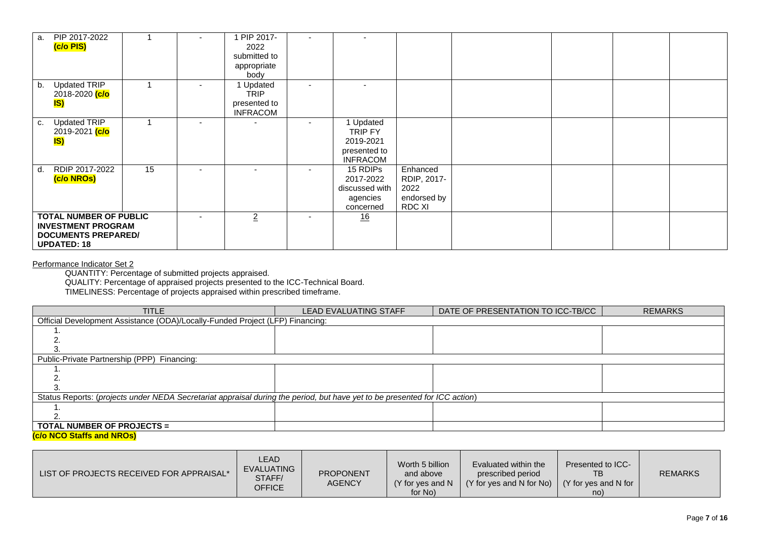| а.                                                                                                             | PIP 2017-2022<br>(c/o PIS)                                             |                | 1 PIP 2017-<br>2022<br>submitted to<br>appropriate<br>body  |                                                                      |                                                          |  |  |
|----------------------------------------------------------------------------------------------------------------|------------------------------------------------------------------------|----------------|-------------------------------------------------------------|----------------------------------------------------------------------|----------------------------------------------------------|--|--|
| b.                                                                                                             | <b>Updated TRIP</b><br>2018-2020 <mark>(c/o</mark><br><mark>IS)</mark> |                | 1 Updated<br><b>TRIP</b><br>presented to<br><b>INFRACOM</b> |                                                                      |                                                          |  |  |
| C.                                                                                                             | <b>Updated TRIP</b><br>2019-2021 <mark>(c/o</mark><br>IS)              |                |                                                             | 1 Updated<br>TRIP FY<br>2019-2021<br>presented to<br><b>INFRACOM</b> |                                                          |  |  |
| d.                                                                                                             | RDIP 2017-2022<br>(c/o NROs)                                           | 15             |                                                             | 15 RDIPs<br>2017-2022<br>discussed with<br>agencies<br>concerned     | Enhanced<br>RDIP, 2017-<br>2022<br>endorsed by<br>RDC XI |  |  |
| <b>TOTAL NUMBER OF PUBLIC</b><br><b>INVESTMENT PROGRAM</b><br><b>DOCUMENTS PREPARED/</b><br><b>UPDATED: 18</b> |                                                                        | $\overline{2}$ | 16                                                          |                                                                      |                                                          |  |  |

#### Performance Indicator Set 2

QUANTITY: Percentage of submitted projects appraised.

QUALITY: Percentage of appraised projects presented to the ICC-Technical Board.

TIMELINESS: Percentage of projects appraised within prescribed timeframe.

| <b>TITLE</b>                                                                                                               | <b>LEAD EVALUATING STAFF</b> | DATE OF PRESENTATION TO ICC-TB/CC | <b>REMARKS</b> |  |  |  |  |  |  |
|----------------------------------------------------------------------------------------------------------------------------|------------------------------|-----------------------------------|----------------|--|--|--|--|--|--|
| Official Development Assistance (ODA)/Locally-Funded Project (LFP) Financing:                                              |                              |                                   |                |  |  |  |  |  |  |
|                                                                                                                            |                              |                                   |                |  |  |  |  |  |  |
|                                                                                                                            |                              |                                   |                |  |  |  |  |  |  |
|                                                                                                                            |                              |                                   |                |  |  |  |  |  |  |
| Public-Private Partnership (PPP) Financing:                                                                                |                              |                                   |                |  |  |  |  |  |  |
|                                                                                                                            |                              |                                   |                |  |  |  |  |  |  |
|                                                                                                                            |                              |                                   |                |  |  |  |  |  |  |
|                                                                                                                            |                              |                                   |                |  |  |  |  |  |  |
| Status Reports: (projects under NEDA Secretariat appraisal during the period, but have yet to be presented for ICC action) |                              |                                   |                |  |  |  |  |  |  |
|                                                                                                                            |                              |                                   |                |  |  |  |  |  |  |
|                                                                                                                            |                              |                                   |                |  |  |  |  |  |  |
| <b>TOTAL NUMBER OF PROJECTS =</b>                                                                                          |                              |                                   |                |  |  |  |  |  |  |
| (c/o NCO Staffs and NROs)                                                                                                  |                              |                                   |                |  |  |  |  |  |  |

| LEAD.<br><b>EVALUATING</b><br>LIST OF PROJECTS RECEIVED FOR APPRAISAL*<br>STAFF/<br><b>OFFICE</b> | <b>PROPONENT</b><br><b>AGENCY</b> | Worth 5 billion<br>and above<br>(Y for yes and N<br>for No) | Evaluated within the<br>prescribed period<br>$(Y$ for yes and N for No) $(Y$ for yes and N for | Presented to ICC-<br>no) | <b>REMARKS</b> |
|---------------------------------------------------------------------------------------------------|-----------------------------------|-------------------------------------------------------------|------------------------------------------------------------------------------------------------|--------------------------|----------------|
|---------------------------------------------------------------------------------------------------|-----------------------------------|-------------------------------------------------------------|------------------------------------------------------------------------------------------------|--------------------------|----------------|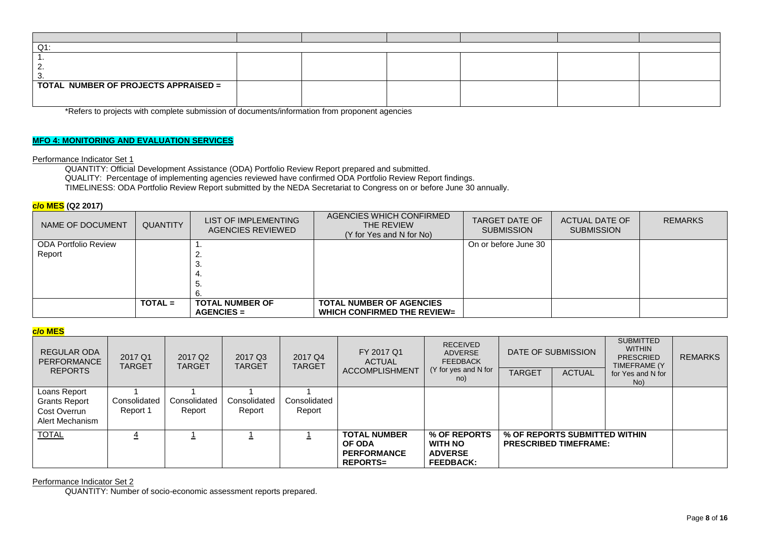| Q1                                          |  |  |  |  |  |  |  |  |  |
|---------------------------------------------|--|--|--|--|--|--|--|--|--|
|                                             |  |  |  |  |  |  |  |  |  |
| c                                           |  |  |  |  |  |  |  |  |  |
| - 3.                                        |  |  |  |  |  |  |  |  |  |
| <b>TOTAL NUMBER OF PROJECTS APPRAISED =</b> |  |  |  |  |  |  |  |  |  |
|                                             |  |  |  |  |  |  |  |  |  |
|                                             |  |  |  |  |  |  |  |  |  |

\*Refers to projects with complete submission of documents/information from proponent agencies

## **MFO 4: MONITORING AND EVALUATION SERVICES**

## Performance Indicator Set 1

QUANTITY: Official Development Assistance (ODA) Portfolio Review Report prepared and submitted. QUALITY: Percentage of implementing agencies reviewed have confirmed ODA Portfolio Review Report findings. TIMELINESS: ODA Portfolio Review Report submitted by the NEDA Secretariat to Congress on or before June 30 annually.

## **c/o MES (Q2 2017)**

| NAME OF DOCUMENT       | <b>QUANTITY</b> | LIST OF IMPLEMENTING<br>AGENCIES REVIEWED | AGENCIES WHICH CONFIRMED<br>THE REVIEW<br>(Y for Yes and N for No) | TARGET DATE OF<br><b>SUBMISSION</b> | ACTUAL DATE OF<br><b>SUBMISSION</b> | <b>REMARKS</b> |
|------------------------|-----------------|-------------------------------------------|--------------------------------------------------------------------|-------------------------------------|-------------------------------------|----------------|
| l ODA Portfolio Review |                 |                                           |                                                                    | On or before June 30                |                                     |                |
| Report                 |                 |                                           |                                                                    |                                     |                                     |                |
|                        |                 | .ა.                                       |                                                                    |                                     |                                     |                |
|                        |                 |                                           |                                                                    |                                     |                                     |                |
|                        |                 | ు.                                        |                                                                    |                                     |                                     |                |
|                        |                 |                                           |                                                                    |                                     |                                     |                |
|                        | $TOTAL =$       | <b>TOTAL NUMBER OF</b>                    | <b>TOTAL NUMBER OF AGENCIES</b>                                    |                                     |                                     |                |
|                        |                 | $AGENCIES =$                              | <b>WHICH CONFIRMED THE REVIEW=</b>                                 |                                     |                                     |                |

### **c/o MES**

| REGULAR ODA<br>PERFORMANCE<br><b>REPORTS</b>                            | 2017 Q1<br><b>TARGET</b> | 2017 Q <sub>2</sub><br><b>TARGET</b> | 2017 Q3<br><b>TARGET</b> | 2017 Q4<br><b>TARGET</b> | FY 2017 Q1<br><b>ACTUAL</b><br><b>ACCOMPLISHMENT</b>                          | <b>RECEIVED</b><br><b>ADVERSE</b><br><b>FEEDBACK</b><br>(Y for yes and N for<br>no) | <b>TARGET</b> | DATE OF SUBMISSION<br><b>ACTUAL</b>                           | <b>SUBMITTED</b><br><b>WITHIN</b><br><b>PRESCRIED</b><br>TIMEFRAME (Y<br>for Yes and N for | <b>REMARKS</b> |
|-------------------------------------------------------------------------|--------------------------|--------------------------------------|--------------------------|--------------------------|-------------------------------------------------------------------------------|-------------------------------------------------------------------------------------|---------------|---------------------------------------------------------------|--------------------------------------------------------------------------------------------|----------------|
| Loans Report<br><b>Grants Report</b><br>Cost Overrun<br>Alert Mechanism | Consolidated<br>Report 1 | Consolidated<br>Report               | Consolidated<br>Report   | Consolidated<br>Report   |                                                                               |                                                                                     |               |                                                               | No)                                                                                        |                |
| <b>TOTAL</b>                                                            |                          |                                      |                          |                          | <b>TOTAL NUMBER</b><br><b>OF ODA</b><br><b>PERFORMANCE</b><br><b>REPORTS=</b> | % OF REPORTS<br><b>WITH NO</b><br><b>ADVERSE</b><br><b>FEEDBACK:</b>                |               | % OF REPORTS SUBMITTED WITHIN<br><b>PRESCRIBED TIMEFRAME:</b> |                                                                                            |                |

## Performance Indicator Set 2

QUANTITY: Number of socio-economic assessment reports prepared.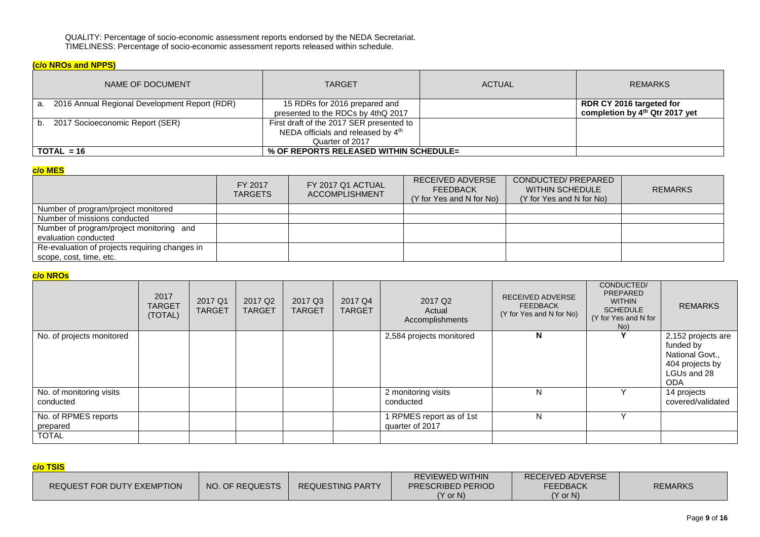QUALITY: Percentage of socio-economic assessment reports endorsed by the NEDA Secretariat. TIMELINESS: Percentage of socio-economic assessment reports released within schedule.

# **(c/o NROs and NPPS)**

| NAME OF DOCUMENT                                 | <b>TARGET</b>                                                                                     | <b>ACTUAL</b> | <b>REMARKS</b>                                                         |
|--------------------------------------------------|---------------------------------------------------------------------------------------------------|---------------|------------------------------------------------------------------------|
| a. 2016 Annual Regional Development Report (RDR) | 15 RDRs for 2016 prepared and<br>presented to the RDCs by 4thQ 2017                               |               | RDR CY 2016 targeted for<br>completion by 4 <sup>th</sup> Qtr 2017 yet |
| b. 2017 Socioeconomic Report (SER)               | First draft of the 2017 SER presented to<br>NEDA officials and released by 4th<br>Quarter of 2017 |               |                                                                        |
| $TOTAL = 16$                                     |                                                                                                   |               |                                                                        |

## **c/o MES**

|                                                                           | FY 2017<br><b>TARGETS</b> | FY 2017 Q1 ACTUAL<br><b>ACCOMPLISHMENT</b> | RECEIVED ADVERSE<br><b>FEEDBACK</b><br>(Y for Yes and N for No) | CONDUCTED/PREPARED<br>WITHIN SCHEDULE<br>(Y for Yes and N for No) | <b>REMARKS</b> |
|---------------------------------------------------------------------------|---------------------------|--------------------------------------------|-----------------------------------------------------------------|-------------------------------------------------------------------|----------------|
| Number of program/project monitored                                       |                           |                                            |                                                                 |                                                                   |                |
| Number of missions conducted                                              |                           |                                            |                                                                 |                                                                   |                |
| Number of program/project monitoring and<br>evaluation conducted          |                           |                                            |                                                                 |                                                                   |                |
| Re-evaluation of projects requiring changes in<br>scope, cost, time, etc. |                           |                                            |                                                                 |                                                                   |                |

## **c/o NROs**

|                                       | 2017<br><b>TARGET</b><br>(TOTAL) | 2017 Q1<br><b>TARGET</b> | 2017 Q <sub>2</sub><br><b>TARGET</b> | 2017 Q3<br><b>TARGET</b> | 2017 Q4<br><b>TARGET</b> | 2017 Q <sub>2</sub><br>Actual<br>Accomplishments | <b>RECEIVED ADVERSE</b><br><b>FEEDBACK</b><br>(Y for Yes and N for No) | CONDUCTED/<br>PREPARED<br><b>WITHIN</b><br><b>SCHEDULE</b><br>(Y for Yes and N for<br>No) | <b>REMARKS</b>                                                                                     |
|---------------------------------------|----------------------------------|--------------------------|--------------------------------------|--------------------------|--------------------------|--------------------------------------------------|------------------------------------------------------------------------|-------------------------------------------------------------------------------------------|----------------------------------------------------------------------------------------------------|
| No. of projects monitored             |                                  |                          |                                      |                          |                          | 2,584 projects monitored                         | N                                                                      |                                                                                           | 2,152 projects are<br>funded by<br>National Govt.,<br>404 projects by<br>LGUs and 28<br><b>ODA</b> |
| No. of monitoring visits<br>conducted |                                  |                          |                                      |                          |                          | 2 monitoring visits<br>conducted                 | N                                                                      |                                                                                           | 14 projects<br>covered/validated                                                                   |
| No. of RPMES reports<br>prepared      |                                  |                          |                                      |                          |                          | 1 RPMES report as of 1st<br>quarter of 2017      | N                                                                      |                                                                                           |                                                                                                    |
| <b>TOTAL</b>                          |                                  |                          |                                      |                          |                          |                                                  |                                                                        |                                                                                           |                                                                                                    |

# **c/o TSIS**

| _________                  |                 |                         |                                             |                                     |                |  |  |  |  |  |
|----------------------------|-----------------|-------------------------|---------------------------------------------|-------------------------------------|----------------|--|--|--|--|--|
| REQUEST FOR DUTY EXEMPTION | NO. OF REQUESTS | <b>REQUESTING PARTY</b> | REVIEWED WITHIN<br><b>PRESCRIBED PERIOD</b> | RECEIVED ADVERSE<br><b>FEEDBACK</b> | <b>REMARKS</b> |  |  |  |  |  |
|                            |                 |                         | $(Y \text{ or } N)$                         | (Y or N)                            |                |  |  |  |  |  |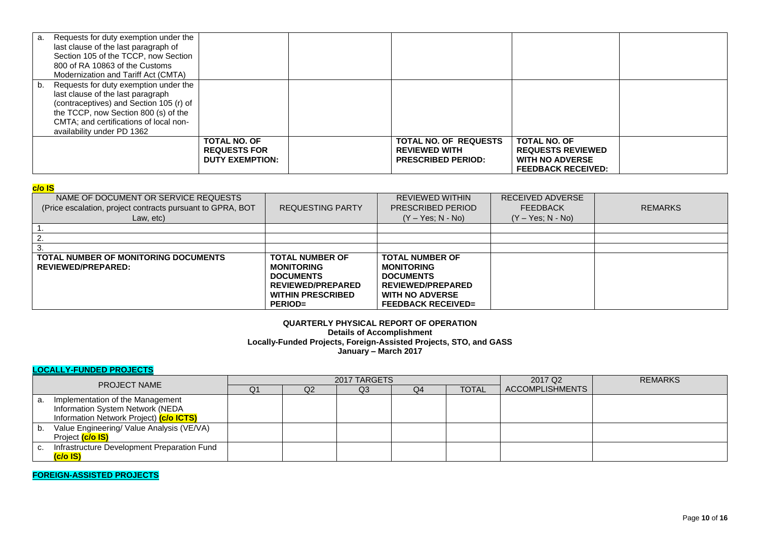|    | a. Requests for duty exemption under the<br>last clause of the last paragraph of<br>Section 105 of the TCCP, now Section<br>800 of RA 10863 of the Customs<br>Modernization and Tariff Act (CMTA)                                     |                                                                      |                                                                                   |                                                                                                        |  |
|----|---------------------------------------------------------------------------------------------------------------------------------------------------------------------------------------------------------------------------------------|----------------------------------------------------------------------|-----------------------------------------------------------------------------------|--------------------------------------------------------------------------------------------------------|--|
| b. | Requests for duty exemption under the<br>last clause of the last paragraph<br>(contraceptives) and Section 105 (r) of<br>the TCCP, now Section 800 (s) of the<br>CMTA; and certifications of local non-<br>availability under PD 1362 |                                                                      |                                                                                   |                                                                                                        |  |
|    |                                                                                                                                                                                                                                       | <b>TOTAL NO. OF</b><br><b>REQUESTS FOR</b><br><b>DUTY EXEMPTION:</b> | <b>TOTAL NO. OF REQUESTS</b><br><b>REVIEWED WITH</b><br><b>PRESCRIBED PERIOD:</b> | <b>TOTAL NO. OF</b><br><b>REQUESTS REVIEWED</b><br><b>WITH NO ADVERSE</b><br><b>FEEDBACK RECEIVED:</b> |  |

## **c/o IS**

| ---                                                                                                             |                                                                                                                                           |                                                                                                                                                    |                                                            |                |
|-----------------------------------------------------------------------------------------------------------------|-------------------------------------------------------------------------------------------------------------------------------------------|----------------------------------------------------------------------------------------------------------------------------------------------------|------------------------------------------------------------|----------------|
| NAME OF DOCUMENT OR SERVICE REQUESTS<br>(Price escalation, project contracts pursuant to GPRA, BOT<br>Law, etc) | <b>REQUESTING PARTY</b>                                                                                                                   | <b>REVIEWED WITHIN</b><br>PRESCRIBED PERIOD<br>$(Y - Yes; N - No)$                                                                                 | RECEIVED ADVERSE<br><b>FEEDBACK</b><br>$(Y - Yes; N - No)$ | <b>REMARKS</b> |
|                                                                                                                 |                                                                                                                                           |                                                                                                                                                    |                                                            |                |
|                                                                                                                 |                                                                                                                                           |                                                                                                                                                    |                                                            |                |
|                                                                                                                 |                                                                                                                                           |                                                                                                                                                    |                                                            |                |
|                                                                                                                 |                                                                                                                                           |                                                                                                                                                    |                                                            |                |
| TOTAL NUMBER OF MONITORING DOCUMENTS<br>REVIEWED/PREPARED:                                                      | <b>TOTAL NUMBER OF</b><br><b>MONITORING</b><br><b>DOCUMENTS</b><br><b>REVIEWED/PREPARED</b><br><b>WITHIN PRESCRIBED</b><br><b>PERIOD=</b> | <b>TOTAL NUMBER OF</b><br><b>MONITORING</b><br><b>DOCUMENTS</b><br><b>REVIEWED/PREPARED</b><br><b>WITH NO ADVERSE</b><br><b>FEEDBACK RECEIVED=</b> |                                                            |                |

## **QUARTERLY PHYSICAL REPORT OF OPERATION Details of Accomplishment Locally-Funded Projects, Foreign-Assisted Projects, STO, and GASS January – March 2017**

# **LOCALLY-FUNDED PROJECTS**

| <b>PROJECT NAME</b> |                                             |    |    | 2017 TARGETS |    | 2017 Q <sub>2</sub> | <b>REMARKS</b>         |  |
|---------------------|---------------------------------------------|----|----|--------------|----|---------------------|------------------------|--|
|                     |                                             | Q1 | Q2 | Q3           | Q4 | <b>TOTAL</b>        | <b>ACCOMPLISHMENTS</b> |  |
|                     | a. Implementation of the Management         |    |    |              |    |                     |                        |  |
|                     | Information System Network (NEDA            |    |    |              |    |                     |                        |  |
|                     | Information Network Project) (c/o ICTS)     |    |    |              |    |                     |                        |  |
| D.                  | Value Engineering/ Value Analysis (VE/VA)   |    |    |              |    |                     |                        |  |
|                     | Project (c/o IS)                            |    |    |              |    |                     |                        |  |
|                     | Infrastructure Development Preparation Fund |    |    |              |    |                     |                        |  |
|                     | (c/o IS)                                    |    |    |              |    |                     |                        |  |

**FOREIGN-ASSISTED PROJECTS**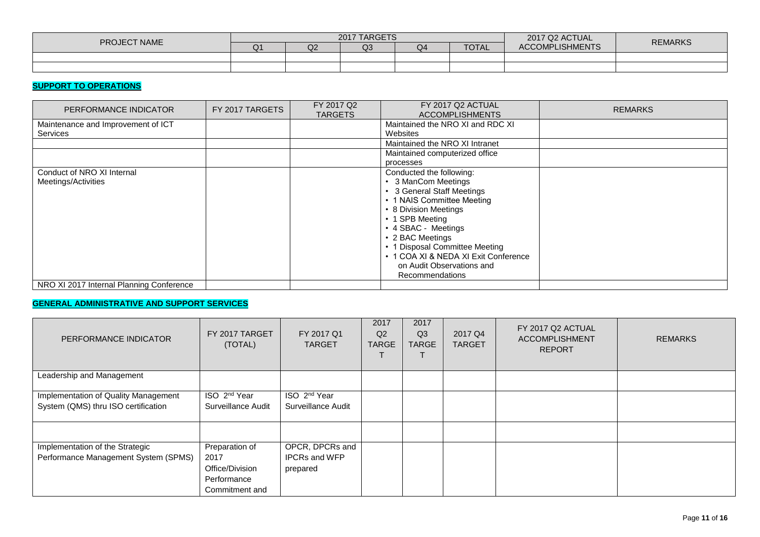| <b>PROJECT NAME</b> | 2017 TARGETS |    |                |    |              | 2017 Q2 ACTUAL         | <b>REMARKS</b> |
|---------------------|--------------|----|----------------|----|--------------|------------------------|----------------|
|                     | Q1           | Q2 | Q <sub>3</sub> | Q4 | <b>TOTAL</b> | <b>ACCOMPLISHMENTS</b> |                |
|                     |              |    |                |    |              |                        |                |
|                     |              |    |                |    |              |                        |                |

# **SUPPORT TO OPERATIONS**

| PERFORMANCE INDICATOR                    | FY 2017 TARGETS | FY 2017 Q2<br><b>TARGETS</b> | FY 2017 Q2 ACTUAL<br><b>ACCOMPLISHMENTS</b> | <b>REMARKS</b> |
|------------------------------------------|-----------------|------------------------------|---------------------------------------------|----------------|
| Maintenance and Improvement of ICT       |                 |                              | Maintained the NRO XI and RDC XI            |                |
| <b>Services</b>                          |                 |                              | Websites                                    |                |
|                                          |                 |                              | Maintained the NRO XI Intranet              |                |
|                                          |                 |                              | Maintained computerized office              |                |
|                                          |                 |                              | processes                                   |                |
| Conduct of NRO XI Internal               |                 |                              | Conducted the following:                    |                |
| Meetings/Activities                      |                 |                              | 3 ManCom Meetings                           |                |
|                                          |                 |                              | • 3 General Staff Meetings                  |                |
|                                          |                 |                              | • 1 NAIS Committee Meeting                  |                |
|                                          |                 |                              | • 8 Division Meetings                       |                |
|                                          |                 |                              | • 1 SPB Meeting                             |                |
|                                          |                 |                              | • 4 SBAC - Meetings                         |                |
|                                          |                 |                              | • 2 BAC Meetings                            |                |
|                                          |                 |                              | • 1 Disposal Committee Meeting              |                |
|                                          |                 |                              | • 1 COA XI & NEDA XI Exit Conference        |                |
|                                          |                 |                              | on Audit Observations and                   |                |
|                                          |                 |                              | Recommendations                             |                |
| NRO XI 2017 Internal Planning Conference |                 |                              |                                             |                |

# **GENERAL ADMINISTRATIVE AND SUPPORT SERVICES**

| PERFORMANCE INDICATOR                | FY 2017 TARGET<br>(TOTAL) | FY 2017 Q1<br><b>TARGET</b> | 2017<br>Q2<br><b>TARGE</b> | 2017<br>Q <sub>3</sub><br><b>TARGE</b> | 2017 Q4<br><b>TARGET</b> | FY 2017 Q2 ACTUAL<br><b>ACCOMPLISHMENT</b><br><b>REPORT</b> | <b>REMARKS</b> |
|--------------------------------------|---------------------------|-----------------------------|----------------------------|----------------------------------------|--------------------------|-------------------------------------------------------------|----------------|
| Leadership and Management            |                           |                             |                            |                                        |                          |                                                             |                |
| Implementation of Quality Management | ISO 2 <sup>nd</sup> Year  | ISO 2 <sup>nd</sup> Year    |                            |                                        |                          |                                                             |                |
| System (QMS) thru ISO certification  | Surveillance Audit        | Surveillance Audit          |                            |                                        |                          |                                                             |                |
|                                      |                           |                             |                            |                                        |                          |                                                             |                |
| Implementation of the Strategic      | Preparation of            | OPCR, DPCRs and             |                            |                                        |                          |                                                             |                |
| Performance Management System (SPMS) | 2017                      | <b>IPCRs and WFP</b>        |                            |                                        |                          |                                                             |                |
|                                      | Office/Division           | prepared                    |                            |                                        |                          |                                                             |                |
|                                      | Performance               |                             |                            |                                        |                          |                                                             |                |
|                                      | Commitment and            |                             |                            |                                        |                          |                                                             |                |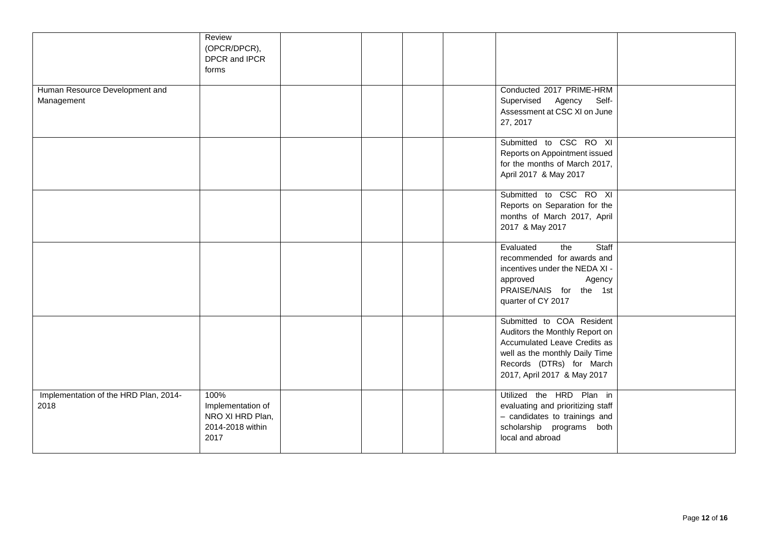|                                               | Review<br>(OPCR/DPCR),<br>DPCR and IPCR<br>forms                          |  |  |                                                                                                                                                                                          |  |
|-----------------------------------------------|---------------------------------------------------------------------------|--|--|------------------------------------------------------------------------------------------------------------------------------------------------------------------------------------------|--|
| Human Resource Development and<br>Management  |                                                                           |  |  | Conducted 2017 PRIME-HRM<br>Supervised Agency<br>Self-<br>Assessment at CSC XI on June<br>27, 2017                                                                                       |  |
|                                               |                                                                           |  |  | Submitted to CSC RO XI<br>Reports on Appointment issued<br>for the months of March 2017,<br>April 2017 & May 2017                                                                        |  |
|                                               |                                                                           |  |  | Submitted to CSC RO XI<br>Reports on Separation for the<br>months of March 2017, April<br>2017 & May 2017                                                                                |  |
|                                               |                                                                           |  |  | Evaluated<br>Staff<br>the<br>recommended for awards and<br>incentives under the NEDA XI -<br>approved<br>Agency<br>PRAISE/NAIS for the 1st<br>quarter of CY 2017                         |  |
|                                               |                                                                           |  |  | Submitted to COA Resident<br>Auditors the Monthly Report on<br>Accumulated Leave Credits as<br>well as the monthly Daily Time<br>Records (DTRs) for March<br>2017, April 2017 & May 2017 |  |
| Implementation of the HRD Plan, 2014-<br>2018 | 100%<br>Implementation of<br>NRO XI HRD Plan,<br>2014-2018 within<br>2017 |  |  | Utilized the HRD Plan in<br>evaluating and prioritizing staff<br>- candidates to trainings and<br>scholarship programs both<br>local and abroad                                          |  |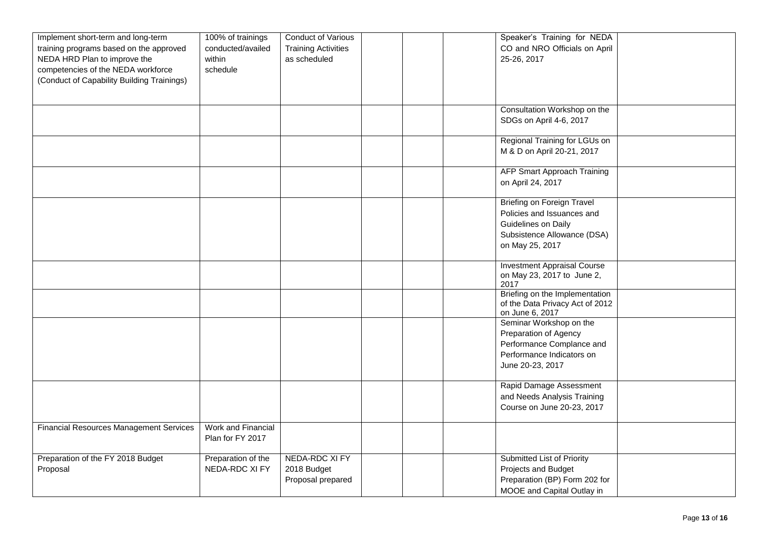| Implement short-term and long-term             | 100% of trainings  | Conduct of Various         |  | Speaker's Training for NEDA            |  |
|------------------------------------------------|--------------------|----------------------------|--|----------------------------------------|--|
|                                                |                    |                            |  | CO and NRO Officials on April          |  |
| training programs based on the approved        | conducted/availed  | <b>Training Activities</b> |  |                                        |  |
| NEDA HRD Plan to improve the                   | within             | as scheduled               |  | 25-26, 2017                            |  |
| competencies of the NEDA workforce             | schedule           |                            |  |                                        |  |
| (Conduct of Capability Building Trainings)     |                    |                            |  |                                        |  |
|                                                |                    |                            |  |                                        |  |
|                                                |                    |                            |  |                                        |  |
|                                                |                    |                            |  | Consultation Workshop on the           |  |
|                                                |                    |                            |  | SDGs on April 4-6, 2017                |  |
|                                                |                    |                            |  |                                        |  |
|                                                |                    |                            |  | Regional Training for LGUs on          |  |
|                                                |                    |                            |  | M & D on April 20-21, 2017             |  |
|                                                |                    |                            |  |                                        |  |
|                                                |                    |                            |  | <b>AFP Smart Approach Training</b>     |  |
|                                                |                    |                            |  | on April 24, 2017                      |  |
|                                                |                    |                            |  |                                        |  |
|                                                |                    |                            |  | <b>Briefing on Foreign Travel</b>      |  |
|                                                |                    |                            |  | Policies and Issuances and             |  |
|                                                |                    |                            |  | Guidelines on Daily                    |  |
|                                                |                    |                            |  |                                        |  |
|                                                |                    |                            |  | Subsistence Allowance (DSA)            |  |
|                                                |                    |                            |  | on May 25, 2017                        |  |
|                                                |                    |                            |  |                                        |  |
|                                                |                    |                            |  | <b>Investment Appraisal Course</b>     |  |
|                                                |                    |                            |  | on May 23, 2017 to June 2,             |  |
|                                                |                    |                            |  | 2017<br>Briefing on the Implementation |  |
|                                                |                    |                            |  | of the Data Privacy Act of 2012        |  |
|                                                |                    |                            |  | on June 6, 2017                        |  |
|                                                |                    |                            |  | Seminar Workshop on the                |  |
|                                                |                    |                            |  | Preparation of Agency                  |  |
|                                                |                    |                            |  | Performance Complance and              |  |
|                                                |                    |                            |  |                                        |  |
|                                                |                    |                            |  | Performance Indicators on              |  |
|                                                |                    |                            |  | June 20-23, 2017                       |  |
|                                                |                    |                            |  |                                        |  |
|                                                |                    |                            |  | Rapid Damage Assessment                |  |
|                                                |                    |                            |  | and Needs Analysis Training            |  |
|                                                |                    |                            |  | Course on June 20-23, 2017             |  |
|                                                |                    |                            |  |                                        |  |
| <b>Financial Resources Management Services</b> | Work and Financial |                            |  |                                        |  |
|                                                | Plan for FY 2017   |                            |  |                                        |  |
|                                                |                    |                            |  |                                        |  |
| Preparation of the FY 2018 Budget              | Preparation of the | NEDA-RDC XI FY             |  | Submitted List of Priority             |  |
| Proposal                                       | NEDA-RDC XI FY     | 2018 Budget                |  | Projects and Budget                    |  |
|                                                |                    | Proposal prepared          |  | Preparation (BP) Form 202 for          |  |
|                                                |                    |                            |  | MOOE and Capital Outlay in             |  |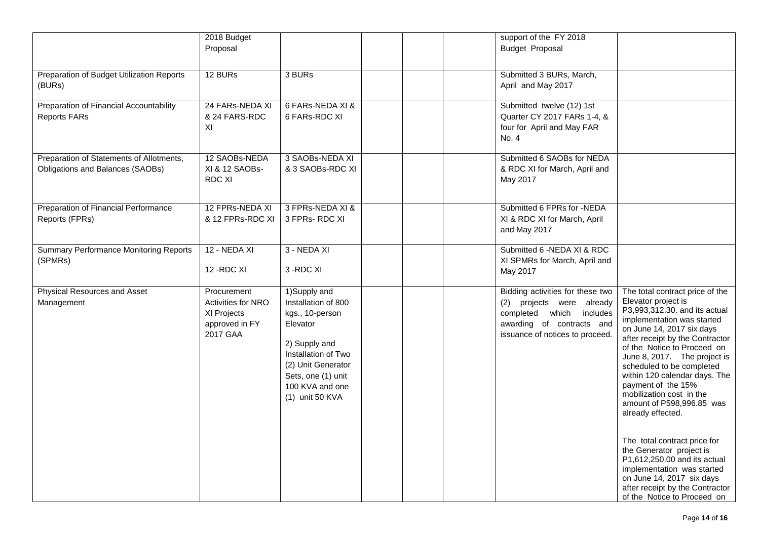|                                                                              | 2018 Budget<br>Proposal                                                               |                                                                                                                                                                                                |  | support of the FY 2018<br><b>Budget Proposal</b>                                                                                                          |                                                                                                                                                                                                                                                                                                                                                                                                                                                                                                                                                                                                                                                 |
|------------------------------------------------------------------------------|---------------------------------------------------------------------------------------|------------------------------------------------------------------------------------------------------------------------------------------------------------------------------------------------|--|-----------------------------------------------------------------------------------------------------------------------------------------------------------|-------------------------------------------------------------------------------------------------------------------------------------------------------------------------------------------------------------------------------------------------------------------------------------------------------------------------------------------------------------------------------------------------------------------------------------------------------------------------------------------------------------------------------------------------------------------------------------------------------------------------------------------------|
| Preparation of Budget Utilization Reports<br>(BURs)                          | 12 BURs                                                                               | 3 BURs                                                                                                                                                                                         |  | Submitted 3 BURs, March,<br>April and May 2017                                                                                                            |                                                                                                                                                                                                                                                                                                                                                                                                                                                                                                                                                                                                                                                 |
| Preparation of Financial Accountability<br>Reports FARs                      | 24 FARs-NEDA XI<br>& 24 FARS-RDC<br>ΧI                                                | 6 FARs-NEDA XI &<br>6 FARs-RDC XI                                                                                                                                                              |  | Submitted twelve (12) 1st<br>Quarter CY 2017 FARs 1-4, &<br>four for April and May FAR<br>No. 4                                                           |                                                                                                                                                                                                                                                                                                                                                                                                                                                                                                                                                                                                                                                 |
| Preparation of Statements of Allotments,<br>Obligations and Balances (SAOBs) | 12 SAOBs-NEDA<br>XI & 12 SAOBs-<br><b>RDC XI</b>                                      | 3 SAOBs-NEDA XI<br>& 3 SAOBs-RDC XI                                                                                                                                                            |  | Submitted 6 SAOBs for NEDA<br>& RDC XI for March, April and<br>May 2017                                                                                   |                                                                                                                                                                                                                                                                                                                                                                                                                                                                                                                                                                                                                                                 |
| Preparation of Financial Performance<br>Reports (FPRs)                       | 12 FPRs-NEDA XI<br>& 12 FPRs-RDC XI                                                   | 3 FPRs-NEDA XI &<br>3 FPRs-RDC XI                                                                                                                                                              |  | Submitted 6 FPRs for -NEDA<br>XI & RDC XI for March, April<br>and May 2017                                                                                |                                                                                                                                                                                                                                                                                                                                                                                                                                                                                                                                                                                                                                                 |
| <b>Summary Performance Monitoring Reports</b><br>(SPMRs)                     | 12 - NEDA XI<br>12 - RDC XI                                                           | 3 - NEDA XI<br>3-RDC XI                                                                                                                                                                        |  | Submitted 6 - NEDA XI & RDC<br>XI SPMRs for March, April and<br>May 2017                                                                                  |                                                                                                                                                                                                                                                                                                                                                                                                                                                                                                                                                                                                                                                 |
| Physical Resources and Asset<br>Management                                   | Procurement<br><b>Activities for NRO</b><br>XI Projects<br>approved in FY<br>2017 GAA | 1)Supply and<br>Installation of 800<br>kgs., 10-person<br>Elevator<br>2) Supply and<br>Installation of Two<br>(2) Unit Generator<br>Sets, one (1) unit<br>100 KVA and one<br>$(1)$ unit 50 KVA |  | Bidding activities for these two<br>(2) projects were already<br>completed which includes<br>awarding of contracts and<br>issuance of notices to proceed. | The total contract price of the<br>Elevator project is<br>P3,993,312.30. and its actual<br>implementation was started<br>on June 14, 2017 six days<br>after receipt by the Contractor<br>of the Notice to Proceed on<br>June 8, 2017. The project is<br>scheduled to be completed<br>within 120 calendar days. The<br>payment of the 15%<br>mobilization cost in the<br>amount of P598,996.85 was<br>already effected.<br>The total contract price for<br>the Generator project is<br>P1,612,250.00 and its actual<br>implementation was started<br>on June 14, 2017 six days<br>after receipt by the Contractor<br>of the Notice to Proceed on |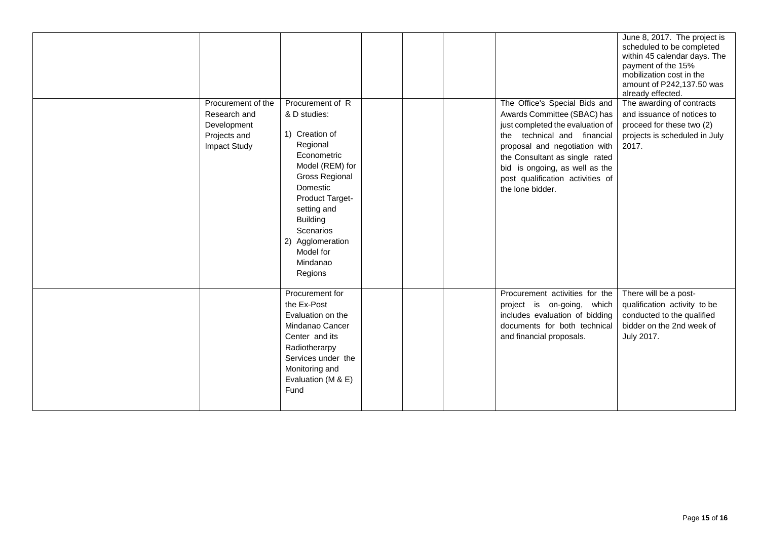| Procurement of the<br>Research and<br>Development<br>Projects and<br><b>Impact Study</b> | Procurement of R<br>& D studies:<br>1) Creation of<br>Regional<br>Econometric<br>Model (REM) for<br><b>Gross Regional</b><br>Domestic<br>Product Target-<br>setting and<br><b>Building</b><br>Scenarios<br>2) Agglomeration<br>Model for<br>Mindanao<br>Regions |  | The Office's Special Bids and<br>Awards Committee (SBAC) has<br>just completed the evaluation of<br>the technical and financial<br>proposal and negotiation with<br>the Consultant as single rated<br>bid is ongoing, as well as the<br>post qualification activities of<br>the lone bidder. | June 8, 2017. The project is<br>scheduled to be completed<br>within 45 calendar days. The<br>payment of the 15%<br>mobilization cost in the<br>amount of P242,137.50 was<br>already effected.<br>The awarding of contracts<br>and issuance of notices to<br>proceed for these two (2)<br>projects is scheduled in July<br>2017. |
|------------------------------------------------------------------------------------------|-----------------------------------------------------------------------------------------------------------------------------------------------------------------------------------------------------------------------------------------------------------------|--|----------------------------------------------------------------------------------------------------------------------------------------------------------------------------------------------------------------------------------------------------------------------------------------------|---------------------------------------------------------------------------------------------------------------------------------------------------------------------------------------------------------------------------------------------------------------------------------------------------------------------------------|
|                                                                                          | Procurement for<br>the Ex-Post<br>Evaluation on the<br>Mindanao Cancer<br>Center and its<br>Radiotherarpy<br>Services under the<br>Monitoring and<br>Evaluation (M & E)<br>Fund                                                                                 |  | Procurement activities for the<br>project is on-going, which<br>includes evaluation of bidding<br>documents for both technical<br>and financial proposals.                                                                                                                                   | There will be a post-<br>qualification activity to be<br>conducted to the qualified<br>bidder on the 2nd week of<br>July 2017.                                                                                                                                                                                                  |